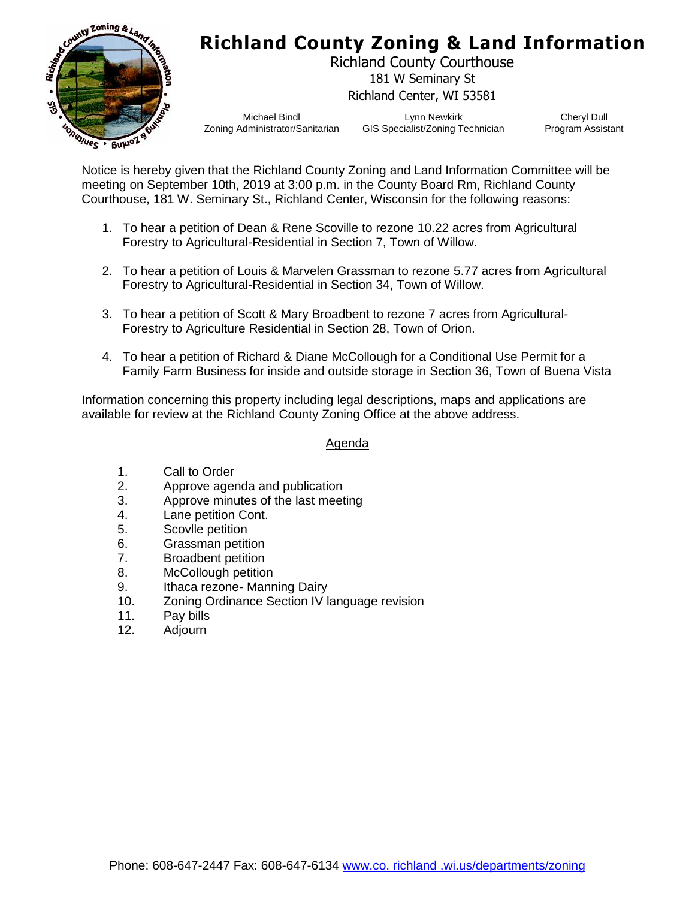

## **Richland County Zoning & Land Information**

Richland County Courthouse 181 W Seminary St Richland Center, WI 53581

Michael Bindl Zoning Administrator/Sanitarian

Lynn Newkirk GIS Specialist/Zoning Technician

Cheryl Dull Program Assistant

Notice is hereby given that the Richland County Zoning and Land Information Committee will be meeting on September 10th, 2019 at 3:00 p.m. in the County Board Rm, Richland County Courthouse, 181 W. Seminary St., Richland Center, Wisconsin for the following reasons:

- 1. To hear a petition of Dean & Rene Scoville to rezone 10.22 acres from Agricultural Forestry to Agricultural-Residential in Section 7, Town of Willow.
- 2. To hear a petition of Louis & Marvelen Grassman to rezone 5.77 acres from Agricultural Forestry to Agricultural-Residential in Section 34, Town of Willow.
- 3. To hear a petition of Scott & Mary Broadbent to rezone 7 acres from Agricultural-Forestry to Agriculture Residential in Section 28, Town of Orion.
- 4. To hear a petition of Richard & Diane McCollough for a Conditional Use Permit for a Family Farm Business for inside and outside storage in Section 36, Town of Buena Vista

Information concerning this property including legal descriptions, maps and applications are available for review at the Richland County Zoning Office at the above address.

### Agenda

- 1. Call to Order
- 2. Approve agenda and publication
- 3. Approve minutes of the last meeting
- 4. Lane petition Cont.
- 5. Scovlle petition
- 6. Grassman petition
- 7. Broadbent petition
- 8. McCollough petition
- 9. Ithaca rezone- Manning Dairy
- 10. Zoning Ordinance Section IV language revision
- 11. Pay bills
- 12. Adjourn